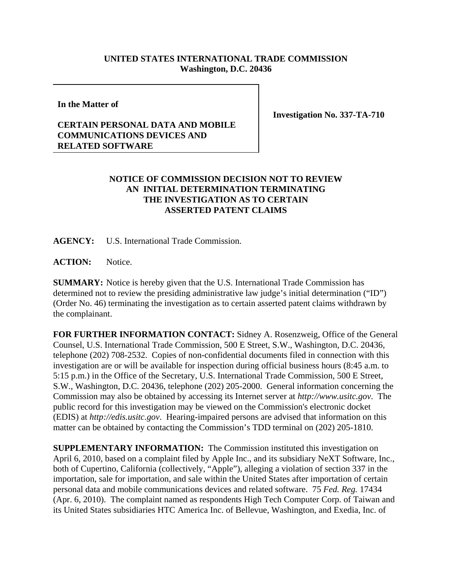## **UNITED STATES INTERNATIONAL TRADE COMMISSION Washington, D.C. 20436**

**In the Matter of**

## **CERTAIN PERSONAL DATA AND MOBILE COMMUNICATIONS DEVICES AND RELATED SOFTWARE**

**Investigation No. 337-TA-710**

## **NOTICE OF COMMISSION DECISION NOT TO REVIEW AN INITIAL DETERMINATION TERMINATING THE INVESTIGATION AS TO CERTAIN ASSERTED PATENT CLAIMS**

**AGENCY:** U.S. International Trade Commission.

**ACTION:** Notice.

**SUMMARY:** Notice is hereby given that the U.S. International Trade Commission has determined not to review the presiding administrative law judge's initial determination ("ID") (Order No. 46) terminating the investigation as to certain asserted patent claims withdrawn by the complainant.

**FOR FURTHER INFORMATION CONTACT:** Sidney A. Rosenzweig, Office of the General Counsel, U.S. International Trade Commission, 500 E Street, S.W., Washington, D.C. 20436, telephone (202) 708-2532. Copies of non-confidential documents filed in connection with this investigation are or will be available for inspection during official business hours (8:45 a.m. to 5:15 p.m.) in the Office of the Secretary, U.S. International Trade Commission, 500 E Street, S.W., Washington, D.C. 20436, telephone (202) 205-2000. General information concerning the Commission may also be obtained by accessing its Internet server at *http://www.usitc.gov*. The public record for this investigation may be viewed on the Commission's electronic docket (EDIS) at *http://edis.usitc.gov*. Hearing-impaired persons are advised that information on this matter can be obtained by contacting the Commission's TDD terminal on (202) 205-1810.

**SUPPLEMENTARY INFORMATION:** The Commission instituted this investigation on April 6, 2010, based on a complaint filed by Apple Inc., and its subsidiary NeXT Software, Inc., both of Cupertino, California (collectively, "Apple"), alleging a violation of section 337 in the importation, sale for importation, and sale within the United States after importation of certain personal data and mobile communications devices and related software. 75 *Fed. Reg.* 17434 (Apr. 6, 2010). The complaint named as respondents High Tech Computer Corp. of Taiwan and its United States subsidiaries HTC America Inc. of Bellevue, Washington, and Exedia, Inc. of